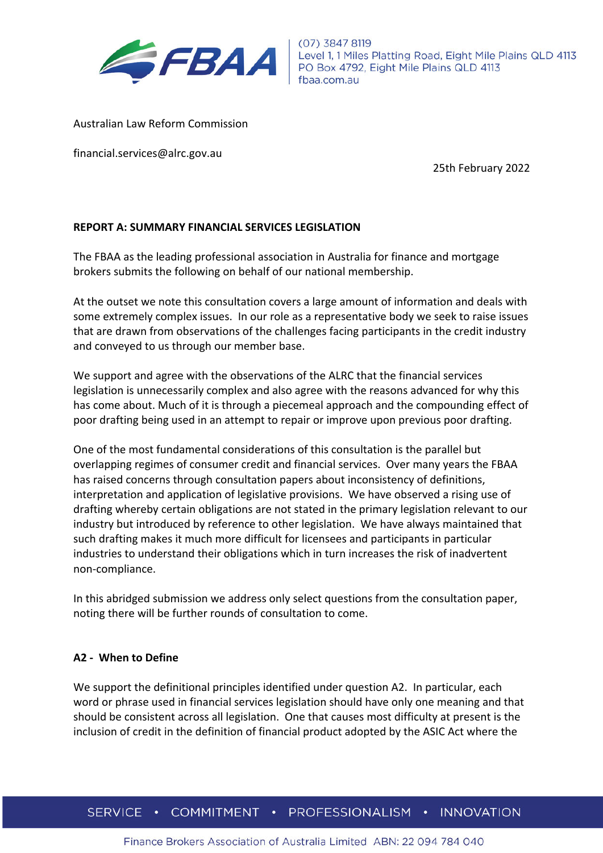

Australian Law Reform Commission

financial.services@alrc.gov.au

25th February 2022

#### **REPORT A: SUMMARY FINANCIAL SERVICES LEGISLATION**

The FBAA as the leading professional association in Australia for finance and mortgage brokers submits the following on behalf of our national membership.

At the outset we note this consultation covers a large amount of information and deals with some extremely complex issues. In our role as a representative body we seek to raise issues that are drawn from observations of the challenges facing participants in the credit industry and conveyed to us through our member base.

We support and agree with the observations of the ALRC that the financial services legislation is unnecessarily complex and also agree with the reasons advanced for why this has come about. Much of it is through a piecemeal approach and the compounding effect of poor drafting being used in an attempt to repair or improve upon previous poor drafting.

One of the most fundamental considerations of this consultation is the parallel but overlapping regimes of consumer credit and financial services. Over many years the FBAA has raised concerns through consultation papers about inconsistency of definitions, interpretation and application of legislative provisions. We have observed a rising use of drafting whereby certain obligations are not stated in the primary legislation relevant to our industry but introduced by reference to other legislation. We have always maintained that such drafting makes it much more difficult for licensees and participants in particular industries to understand their obligations which in turn increases the risk of inadvertent non-compliance.

In this abridged submission we address only select questions from the consultation paper, noting there will be further rounds of consultation to come.

#### **A2 - When to Define**

We support the definitional principles identified under question A2. In particular, each word or phrase used in financial services legislation should have only one meaning and that should be consistent across all legislation. One that causes most difficulty at present is the inclusion of credit in the definition of financial product adopted by the ASIC Act where the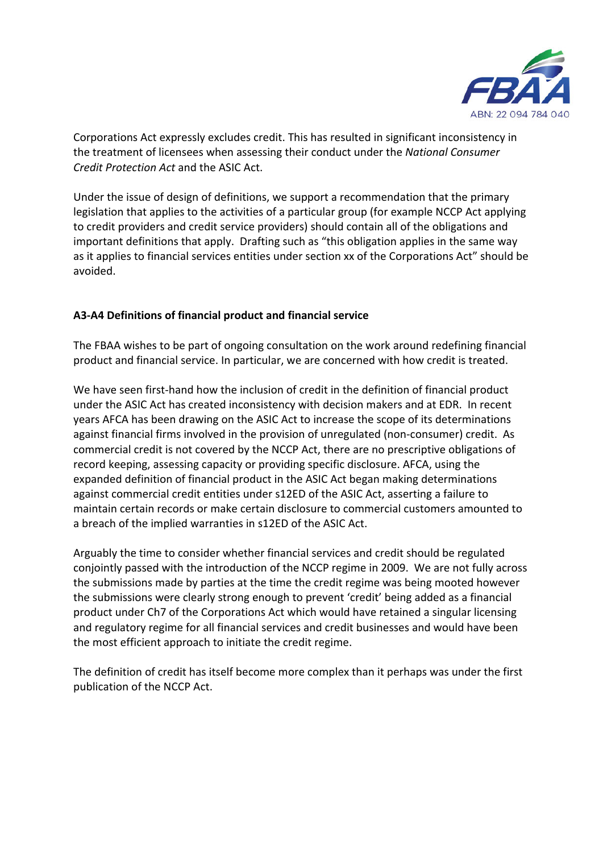

Corporations Act expressly excludes credit. This has resulted in significant inconsistency in the treatment of licensees when assessing their conduct under the *National Consumer Credit Protection Act* and the ASIC Act.

Under the issue of design of definitions, we support a recommendation that the primary legislation that applies to the activities of a particular group (for example NCCP Act applying to credit providers and credit service providers) should contain all of the obligations and important definitions that apply. Drafting such as "this obligation applies in the same way as it applies to financial services entities under section xx of the Corporations Act" should be avoided.

# **A3-A4 Definitions of financial product and financial service**

The FBAA wishes to be part of ongoing consultation on the work around redefining financial product and financial service. In particular, we are concerned with how credit is treated.

We have seen first-hand how the inclusion of credit in the definition of financial product under the ASIC Act has created inconsistency with decision makers and at EDR. In recent years AFCA has been drawing on the ASIC Act to increase the scope of its determinations against financial firms involved in the provision of unregulated (non-consumer) credit. As commercial credit is not covered by the NCCP Act, there are no prescriptive obligations of record keeping, assessing capacity or providing specific disclosure. AFCA, using the expanded definition of financial product in the ASIC Act began making determinations against commercial credit entities under s12ED of the ASIC Act, asserting a failure to maintain certain records or make certain disclosure to commercial customers amounted to a breach of the implied warranties in s12ED of the ASIC Act.

Arguably the time to consider whether financial services and credit should be regulated conjointly passed with the introduction of the NCCP regime in 2009. We are not fully across the submissions made by parties at the time the credit regime was being mooted however the submissions were clearly strong enough to prevent 'credit' being added as a financial product under Ch7 of the Corporations Act which would have retained a singular licensing and regulatory regime for all financial services and credit businesses and would have been the most efficient approach to initiate the credit regime.

The definition of credit has itself become more complex than it perhaps was under the first publication of the NCCP Act.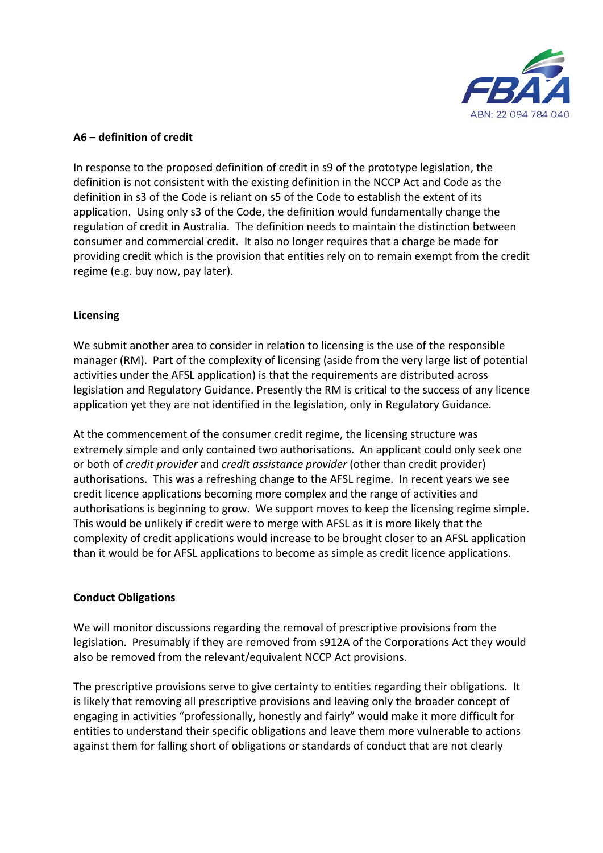

### **A6 – definition of credit**

In response to the proposed definition of credit in s9 of the prototype legislation, the definition is not consistent with the existing definition in the NCCP Act and Code as the definition in s3 of the Code is reliant on s5 of the Code to establish the extent of its application. Using only s3 of the Code, the definition would fundamentally change the regulation of credit in Australia. The definition needs to maintain the distinction between consumer and commercial credit. It also no longer requires that a charge be made for providing credit which is the provision that entities rely on to remain exempt from the credit regime (e.g. buy now, pay later).

# **Licensing**

We submit another area to consider in relation to licensing is the use of the responsible manager (RM). Part of the complexity of licensing (aside from the very large list of potential activities under the AFSL application) is that the requirements are distributed across legislation and Regulatory Guidance. Presently the RM is critical to the success of any licence application yet they are not identified in the legislation, only in Regulatory Guidance.

At the commencement of the consumer credit regime, the licensing structure was extremely simple and only contained two authorisations. An applicant could only seek one or both of *credit provider* and *credit assistance provider* (other than credit provider) authorisations. This was a refreshing change to the AFSL regime. In recent years we see credit licence applications becoming more complex and the range of activities and authorisations is beginning to grow. We support moves to keep the licensing regime simple. This would be unlikely if credit were to merge with AFSL as it is more likely that the complexity of credit applications would increase to be brought closer to an AFSL application than it would be for AFSL applications to become as simple as credit licence applications.

# **Conduct Obligations**

We will monitor discussions regarding the removal of prescriptive provisions from the legislation. Presumably if they are removed from s912A of the Corporations Act they would also be removed from the relevant/equivalent NCCP Act provisions.

The prescriptive provisions serve to give certainty to entities regarding their obligations. It is likely that removing all prescriptive provisions and leaving only the broader concept of engaging in activities "professionally, honestly and fairly" would make it more difficult for entities to understand their specific obligations and leave them more vulnerable to actions against them for falling short of obligations or standards of conduct that are not clearly